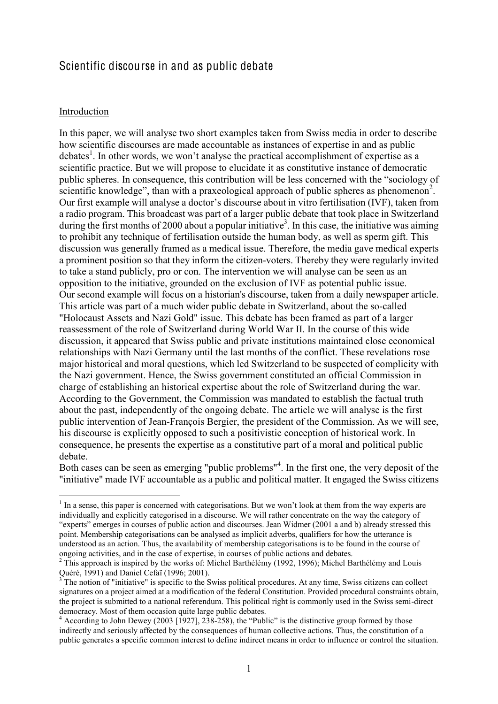# Scientific discourse in and as public debate

### Introduction

In this paper, we will analyse two short examples taken from Swiss media in order to describe how scientific discourses are made accountable as instances of expertise in and as public debates<sup>1</sup>. In other words, we won't analyse the practical accomplishment of expertise as a scientific practice. But we will propose to elucidate it as constitutive instance of democratic public spheres. In consequence, this contribution will be less concerned with the "sociology of scientific knowledge", than with a praxeological approach of public spheres as phenomenon<sup>2</sup>. Our first example will analyse a doctor's discourse about in vitro fertilisation (IVF), taken from a radio program. This broadcast was part of a larger public debate that took place in Switzerland during the first months of 2000 about a popular initiative<sup>3</sup>. In this case, the initiative was aiming to prohibit any technique of fertilisation outside the human body, as well as sperm gift. This discussion was generally framed as a medical issue. Therefore, the media gave medical experts a prominent position so that they inform the citizen-voters. Thereby they were regularly invited to take a stand publicly, pro or con. The intervention we will analyse can be seen as an opposition to the initiative, grounded on the exclusion of IVF as potential public issue. Our second example will focus on a historian's discourse, taken from a daily newspaper article. This article was part of a much wider public debate in Switzerland, about the so-called "Holocaust Assets and Nazi Gold" issue. This debate has been framed as part of a larger reassessment of the role of Switzerland during World War II. In the course of this wide discussion, it appeared that Swiss public and private institutions maintained close economical relationships with Nazi Germany until the last months of the conflict. These revelations rose major historical and moral questions, which led Switzerland to be suspected of complicity with the Nazi government. Hence, the Swiss government constituted an official Commission in charge of establishing an historical expertise about the role of Switzerland during the war. According to the Government, the Commission was mandated to establish the factual truth about the past, independently of the ongoing debate. The article we will analyse is the first public intervention of Jean-François Bergier, the president of the Commission. As we will see, his discourse is explicitly opposed to such a positivistic conception of historical work. In consequence, he presents the expertise as a constitutive part of a moral and political public debate.

Both cases can be seen as emerging "public problems"<sup>4</sup>. In the first one, the very deposit of the "initiative" made IVF accountable as a public and political matter. It engaged the Swiss citizens

<sup>&</sup>lt;sup>1</sup> In a sense, this paper is concerned with categorisations. But we won't look at them from the way experts are individually and explicitly categorised in a discourse. We will rather concentrate on the way the category of "experts" emerges in courses of public action and discourses. Jean Widmer (2001 a and b) already stressed this point. Membership categorisations can be analysed as implicit adverbs, qualifiers for how the utterance is understood as an action. Thus, the availability of membership categorisations is to be found in the course of ongoing activities, and in the case of expertise, in courses of public actions and debates. <sup>2</sup> This approach is inspired by the works of: Michel Barthélémy (1992, 1996); Michel Barthélémy and Louis

Quéré, 1991) and Daniel Cefaï (1996; 2001).

<sup>3</sup> The notion of "initiative" is specific to the Swiss political procedures. At any time, Swiss citizens can collect signatures on a project aimed at a modification of the federal Constitution. Provided procedural constraints obtain, the project is submitted to a national referendum. This political right is commonly used in the Swiss semi-direct democracy. Most of them occasion quite large public debates.

<sup>&</sup>lt;sup>4</sup> According to John Dewey (2003 [1927], 238-258), the "Public" is the distinctive group formed by those indirectly and seriously affected by the consequences of human collective actions. Thus, the constitution of a public generates a specific common interest to define indirect means in order to influence or control the situation.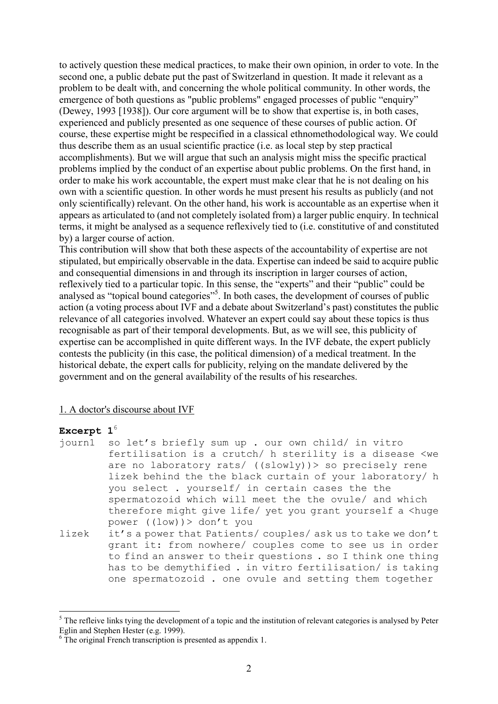to actively question these medical practices, to make their own opinion, in order to vote. In the second one, a public debate put the past of Switzerland in question. It made it relevant as a problem to be dealt with, and concerning the whole political community. In other words, the emergence of both questions as "public problems" engaged processes of public "enquiry" (Dewey, 1993 [1938]). Our core argument will be to show that expertise is, in both cases, experienced and publicly presented as one sequence of these courses of public action. Of course, these expertise might be respecified in a classical ethnomethodological way. We could thus describe them as an usual scientific practice (i.e. as local step by step practical accomplishments). But we will argue that such an analysis might miss the specific practical problems implied by the conduct of an expertise about public problems. On the first hand, in order to make his work accountable, the expert must make clear that he is not dealing on his own with a scientific question. In other words he must present his results as publicly (and not only scientifically) relevant. On the other hand, his work is accountable as an expertise when it appears as articulated to (and not completely isolated from) a larger public enquiry. In technical terms, it might be analysed as a sequence reflexively tied to (i.e. constitutive of and constituted by) a larger course of action.

This contribution will show that both these aspects of the accountability of expertise are not stipulated, but empirically observable in the data. Expertise can indeed be said to acquire public and consequential dimensions in and through its inscription in larger courses of action, reflexively tied to a particular topic. In this sense, the "experts" and their "public" could be analysed as "topical bound categories"<sup>5</sup>. In both cases, the development of courses of public action (a voting process about IVF and a debate about Switzerland's past) constitutes the public relevance of all categories involved. Whatever an expert could say about these topics is thus recognisable as part of their temporal developments. But, as we will see, this publicity of expertise can be accomplished in quite different ways. In the IVF debate, the expert publicly contests the publicity (in this case, the political dimension) of a medical treatment. In the historical debate, the expert calls for publicity, relying on the mandate delivered by the government and on the general availability of the results of his researches.

### 1. A doctor's discourse about IVF

### **Excerpt 1**<sup>6</sup>

- journ1 so let's briefly sum up . our own child/ in vitro fertilisation is a crutch/ h sterility is a disease <we are no laboratory rats/ ((slowly))> so precisely rene lizek behind the the black curtain of your laboratory/ h you select . yourself/ in certain cases the the spermatozoid which will meet the the ovule/ and which therefore might give life/ yet you grant yourself a <huge power ((low))> don't you
- lizek it's a power that Patients/ couples/ ask us to take we don't grant it: from nowhere/ couples come to see us in order to find an answer to their questions . so I think one thing has to be demythified . in vitro fertilisation/ is taking one spermatozoid . one ovule and setting them together

<sup>&</sup>lt;sup>5</sup> The refleive links tying the development of a topic and the institution of relevant categories is analysed by Peter Eglin and Stephen Hester (e.g. 1999).

 $6$  The original French transcription is presented as appendix 1.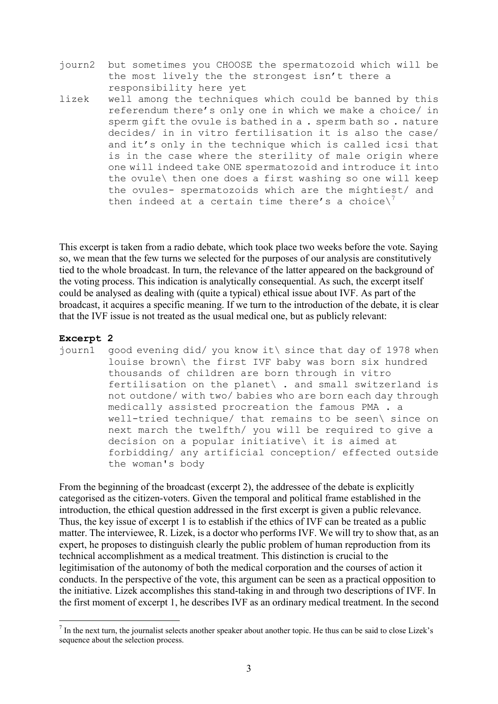- journ2 but sometimes you CHOOSE the spermatozoid which will be the most lively the the strongest isn't there a responsibility here yet
- lizek well among the techniques which could be banned by this referendum there's only one in which we make a choice/ in sperm gift the ovule is bathed in a . sperm bath so . nature decides/ in in vitro fertilisation it is also the case/ and it's only in the technique which is called icsi that is in the case where the sterility of male origin where one will indeed take ONE spermatozoid and introduce it into the ovule\ then one does a first washing so one will keep the ovules- spermatozoids which are the mightiest/ and then indeed at a certain time there's a choice\<sup>7</sup>

This excerpt is taken from a radio debate, which took place two weeks before the vote. Saying so, we mean that the few turns we selected for the purposes of our analysis are constitutively tied to the whole broadcast. In turn, the relevance of the latter appeared on the background of the voting process. This indication is analytically consequential. As such, the excerpt itself could be analysed as dealing with (quite a typical) ethical issue about IVF. As part of the broadcast, it acquires a specific meaning. If we turn to the introduction of the debate, it is clear that the IVF issue is not treated as the usual medical one, but as publicly relevant:

### **Excerpt 2**

journ1 good evening did/ you know it\ since that day of 1978 when louise brown\ the first IVF baby was born six hundred thousands of children are born through in vitro fertilisation on the planet\ . and small switzerland is not outdone/ with two/ babies who are born each day through medically assisted procreation the famous PMA . a well-tried technique/ that remains to be seen\ since on next march the twelfth/ you will be required to give a decision on a popular initiative\ it is aimed at forbidding/ any artificial conception/ effected outside the woman's body

From the beginning of the broadcast (excerpt 2), the addressee of the debate is explicitly categorised as the citizen-voters. Given the temporal and political frame established in the introduction, the ethical question addressed in the first excerpt is given a public relevance. Thus, the key issue of excerpt 1 is to establish if the ethics of IVF can be treated as a public matter. The interviewee, R. Lizek, is a doctor who performs IVF. We will try to show that, as an expert, he proposes to distinguish clearly the public problem of human reproduction from its technical accomplishment as a medical treatment. This distinction is crucial to the legitimisation of the autonomy of both the medical corporation and the courses of action it conducts. In the perspective of the vote, this argument can be seen as a practical opposition to the initiative. Lizek accomplishes this stand-taking in and through two descriptions of IVF. In the first moment of excerpt 1, he describes IVF as an ordinary medical treatment. In the second

<sup>&</sup>lt;sup>7</sup> In the next turn, the journalist selects another speaker about another topic. He thus can be said to close Lizek's sequence about the selection process.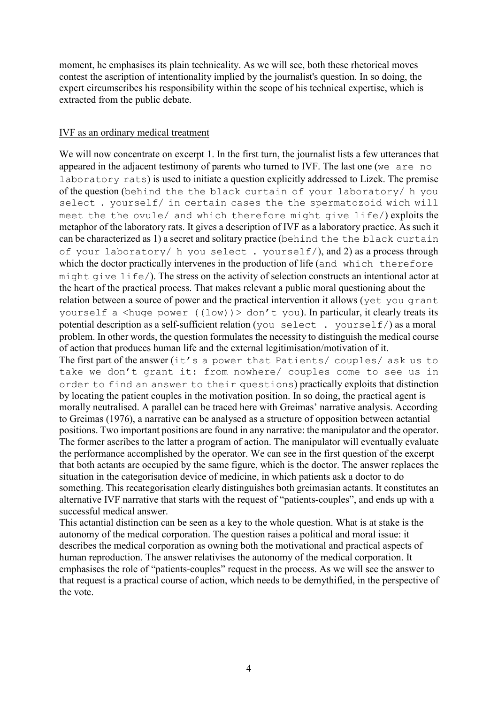moment, he emphasises its plain technicality. As we will see, both these rhetorical moves contest the ascription of intentionality implied by the journalist's question. In so doing, the expert circumscribes his responsibility within the scope of his technical expertise, which is extracted from the public debate.

## IVF as an ordinary medical treatment

We will now concentrate on excerpt 1. In the first turn, the journalist lists a few utterances that appeared in the adjacent testimony of parents who turned to IVF. The last one (we are no laboratory rats) is used to initiate a question explicitly addressed to Lizek. The premise of the question (behind the the black curtain of your laboratory/ h you select . yourself/ in certain cases the the spermatozoid wich will meet the the ovule/ and which therefore might give life/) exploits the metaphor of the laboratory rats. It gives a description of IVF as a laboratory practice. As such it can be characterized as 1) a secret and solitary practice (behind the the black curtain of your laboratory/ h you select . yourself/), and 2) as a process through which the doctor practically intervenes in the production of life (and which therefore might give life/). The stress on the activity of selection constructs an intentional actor at the heart of the practical process. That makes relevant a public moral questioning about the relation between a source of power and the practical intervention it allows (yet you grant yourself a  $\langle$ huge power ((low))  $>$  don't you). In particular, it clearly treats its potential description as a self-sufficient relation (you select . yourself/) as a moral problem. In other words, the question formulates the necessity to distinguish the medical course of action that produces human life and the external legitimisation/motivation of it.

The first part of the answer (it's a power that Patients/ couples/ ask us to take we don't grant it: from nowhere/ couples come to see us in order to find an answer to their questions) practically exploits that distinction by locating the patient couples in the motivation position. In so doing, the practical agent is morally neutralised. A parallel can be traced here with Greimas' narrative analysis. According to Greimas (1976), a narrative can be analysed as a structure of opposition between actantial positions. Two important positions are found in any narrative: the manipulator and the operator. The former ascribes to the latter a program of action. The manipulator will eventually evaluate the performance accomplished by the operator. We can see in the first question of the excerpt that both actants are occupied by the same figure, which is the doctor. The answer replaces the situation in the categorisation device of medicine, in which patients ask a doctor to do something. This recategorisation clearly distinguishes both greimasian actants. It constitutes an alternative IVF narrative that starts with the request of "patients-couples", and ends up with a successful medical answer.

This actantial distinction can be seen as a key to the whole question. What is at stake is the autonomy of the medical corporation. The question raises a political and moral issue: it describes the medical corporation as owning both the motivational and practical aspects of human reproduction. The answer relativises the autonomy of the medical corporation. It emphasises the role of "patients-couples" request in the process. As we will see the answer to that request is a practical course of action, which needs to be demythified, in the perspective of the vote.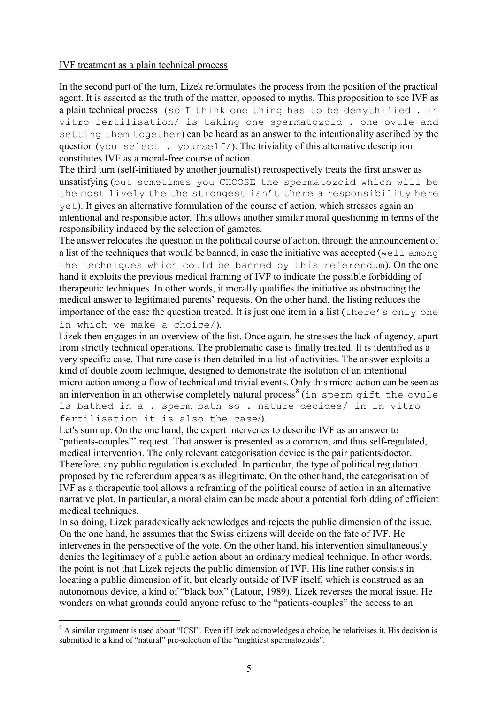## IVF treatment as a plain technical process

In the second part of the turn, Lizek reformulates the process from the position of the practical agent. It is asserted as the truth of the matter, opposed to myths. This proposition to see IVF as a plain technical process (so I think one thing has to be demythified. in vitro fertilisation/ is taking one spermatozoid . one ovule and setting them together) can be heard as an answer to the intentionality ascribed by the question (you select . yourself/). The triviality of this alternative description constitutes IVF as a moral-free course of action.

The third turn (self-initiated by another journalist) retrospectively treats the first answer as unsatisfying (but sometimes you CHOOSE the spermatozoid which will be the most lively the the strongest isn't there a responsibility here yet). It gives an alternative formulation of the course of action, which stresses again an intentional and responsible actor. This allows another similar moral questioning in terms of the responsibility induced by the selection of gametes.

The answer relocates the question in the political course of action, through the announcement of a list of the techniques that would be banned, in case the initiative was accepted (well among the techniques which could be banned by this referendum). On the one hand it exploits the previous medical framing of IVF to indicate the possible forbidding of therapeutic techniques. In other words, it morally qualifies the initiative as obstructing the medical answer to legitimated parents' requests. On the other hand, the listing reduces the importance of the case the question treated. It is just one item in a list (there's only one in which we make a choice/).

Lizek then engages in an overview of the list. Once again, he stresses the lack of agency, apart from strictly technical operations. The problematic case is finally treated. It is identified as a very specific case. That rare case is then detailed in a list of activities. The answer exploits a kind of double zoom technique, designed to demonstrate the isolation of an intentional micro-action among a flow of technical and trivial events. Only this micro-action can be seen as an intervention in an otherwise completely natural process<sup>8</sup> (in sperm gift the ovule is bathed in a . sperm bath so . nature decides/ in in vitro fertilisation it is also the case/).

Let's sum up. On the one hand, the expert intervenes to describe IVF as an answer to "patients-couples"' request. That answer is presented as a common, and thus self-regulated, medical intervention. The only relevant categorisation device is the pair patients/doctor. Therefore, any public regulation is excluded. In particular, the type of political regulation proposed by the referendum appears as illegitimate. On the other hand, the categorisation of IVF as a therapeutic tool allows a reframing of the political course of action in an alternative narrative plot. In particular, a moral claim can be made about a potential forbidding of efficient medical techniques.

In so doing, Lizek paradoxically acknowledges and rejects the public dimension of the issue. On the one hand, he assumes that the Swiss citizens will decide on the fate of IVF. He intervenes in the perspective of the vote. On the other hand, his intervention simultaneously denies the legitimacy of a public action about an ordinary medical technique. In other words, the point is not that Lizek rejects the public dimension of IVF. His line rather consists in locating a public dimension of it, but clearly outside of IVF itself, which is construed as an autonomous device, a kind of "black box" (Latour, 1989). Lizek reverses the moral issue. He wonders on what grounds could anyone refuse to the "patients-couples" the access to an

<sup>&</sup>lt;sup>8</sup> A similar argument is used about "ICSI". Even if Lizek acknowledges a choice, he relativises it. His decision is submitted to a kind of "natural" pre-selection of the "mightiest spermatozoids".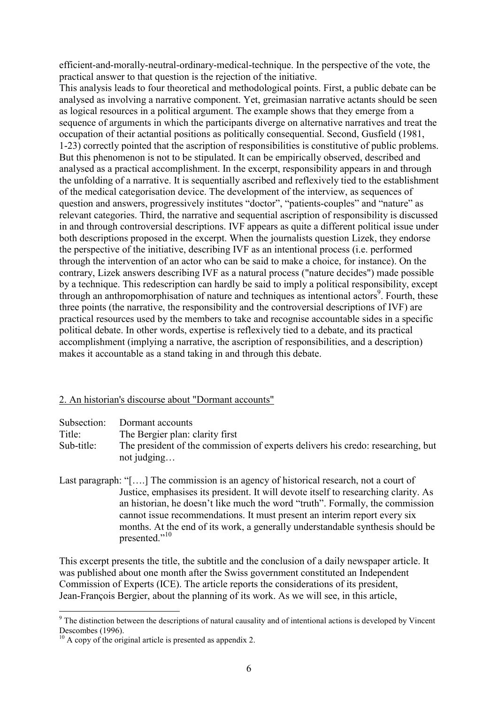efficient-and-morally-neutral-ordinary-medical-technique. In the perspective of the vote, the practical answer to that question is the rejection of the initiative.

This analysis leads to four theoretical and methodological points. First, a public debate can be analysed as involving a narrative component. Yet, greimasian narrative actants should be seen as logical resources in a political argument. The example shows that they emerge from a sequence of arguments in which the participants diverge on alternative narratives and treat the occupation of their actantial positions as politically consequential. Second, Gusfield (1981, 1-23) correctly pointed that the ascription of responsibilities is constitutive of public problems. But this phenomenon is not to be stipulated. It can be empirically observed, described and analysed as a practical accomplishment. In the excerpt, responsibility appears in and through the unfolding of a narrative. It is sequentially ascribed and reflexively tied to the establishment of the medical categorisation device. The development of the interview, as sequences of question and answers, progressively institutes "doctor", "patients-couples" and "nature" as relevant categories. Third, the narrative and sequential ascription of responsibility is discussed in and through controversial descriptions. IVF appears as quite a different political issue under both descriptions proposed in the excerpt. When the journalists question Lizek, they endorse the perspective of the initiative, describing IVF as an intentional process (i.e. performed through the intervention of an actor who can be said to make a choice, for instance). On the contrary, Lizek answers describing IVF as a natural process ("nature decides") made possible by a technique. This redescription can hardly be said to imply a political responsibility, except through an anthropomorphisation of nature and techniques as intentional actors<sup>9</sup>. Fourth, these three points (the narrative, the responsibility and the controversial descriptions of IVF) are practical resources used by the members to take and recognise accountable sides in a specific political debate. In other words, expertise is reflexively tied to a debate, and its practical accomplishment (implying a narrative, the ascription of responsibilities, and a description) makes it accountable as a stand taking in and through this debate.

### 2. An historian's discourse about "Dormant accounts"

- Title: The Bergier plan: clarity first
- Sub-title: The president of the commission of experts delivers his credo: researching, but not judging…
- Last paragraph: "[...] The commission is an agency of historical research, not a court of Justice, emphasises its president. It will devote itself to researching clarity. As an historian, he doesn't like much the word "truth". Formally, the commission cannot issue recommendations. It must present an interim report every six months. At the end of its work, a generally understandable synthesis should be presented."<sup>10</sup>

This excerpt presents the title, the subtitle and the conclusion of a daily newspaper article. It was published about one month after the Swiss government constituted an Independent Commission of Experts (ICE). The article reports the considerations of its president, Jean-François Bergier, about the planning of its work. As we will see, in this article,

<sup>&</sup>lt;sup>9</sup> The distinction between the descriptions of natural causality and of intentional actions is developed by Vincent Descombes (1996).

 $10$  A copy of the original article is presented as appendix 2.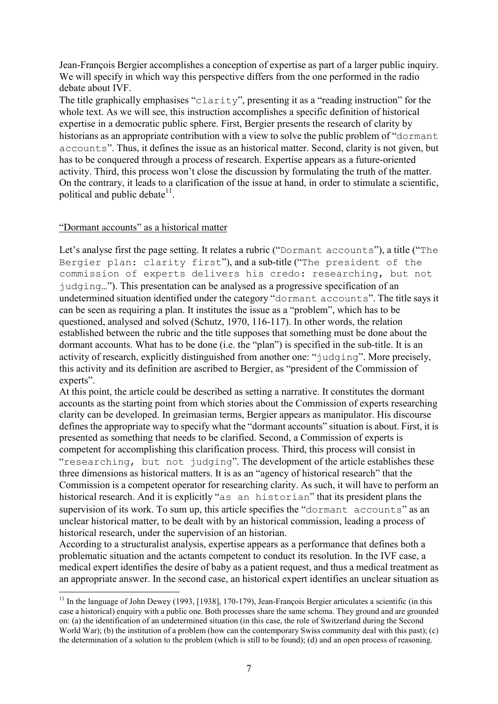Jean-François Bergier accomplishes a conception of expertise as part of a larger public inquiry. We will specify in which way this perspective differs from the one performed in the radio debate about IVF.

The title graphically emphasises "clarity", presenting it as a "reading instruction" for the whole text. As we will see, this instruction accomplishes a specific definition of historical expertise in a democratic public sphere. First, Bergier presents the research of clarity by historians as an appropriate contribution with a view to solve the public problem of "dormant" accounts". Thus, it defines the issue as an historical matter. Second, clarity is not given, but has to be conquered through a process of research. Expertise appears as a future-oriented activity. Third, this process won't close the discussion by formulating the truth of the matter. On the contrary, it leads to a clarification of the issue at hand, in order to stimulate a scientific, political and public debate $11$ .

## "Dormant accounts" as a historical matter

Let's analyse first the page setting. It relates a rubric ("Dormant accounts"), a title ("The Bergier plan: clarity first"), and a sub-title ("The president of the commission of experts delivers his credo: researching, but not judging…"). This presentation can be analysed as a progressive specification of an undetermined situation identified under the category "dormant accounts". The title says it can be seen as requiring a plan. It institutes the issue as a "problem", which has to be questioned, analysed and solved (Schutz, 1970, 116-117). In other words, the relation established between the rubric and the title supposes that something must be done about the dormant accounts. What has to be done (i.e. the "plan") is specified in the sub-title. It is an activity of research, explicitly distinguished from another one: "judging". More precisely, this activity and its definition are ascribed to Bergier, as "president of the Commission of experts".

At this point, the article could be described as setting a narrative. It constitutes the dormant accounts as the starting point from which stories about the Commission of experts researching clarity can be developed. In greimasian terms, Bergier appears as manipulator. His discourse defines the appropriate way to specify what the "dormant accounts" situation is about. First, it is presented as something that needs to be clarified. Second, a Commission of experts is competent for accomplishing this clarification process. Third, this process will consist in "researching, but not judging". The development of the article establishes these three dimensions as historical matters. It is as an "agency of historical research" that the Commission is a competent operator for researching clarity. As such, it will have to perform an historical research. And it is explicitly "as an historian" that its president plans the supervision of its work. To sum up, this article specifies the "dormant accounts" as an unclear historical matter, to be dealt with by an historical commission, leading a process of historical research, under the supervision of an historian.

According to a structuralist analysis, expertise appears as a performance that defines both a problematic situation and the actants competent to conduct its resolution. In the IVF case, a medical expert identifies the desire of baby as a patient request, and thus a medical treatment as an appropriate answer. In the second case, an historical expert identifies an unclear situation as

<sup>&</sup>lt;sup>11</sup> In the language of John Dewey (1993, [1938], 170-179), Jean-François Bergier articulates a scientific (in this case a historical) enquiry with a public one. Both processes share the same schema. They ground and are grounded on: (a) the identification of an undetermined situation (in this case, the role of Switzerland during the Second World War); (b) the institution of a problem (how can the contemporary Swiss community deal with this past); (c) the determination of a solution to the problem (which is still to be found); (d) and an open process of reasoning.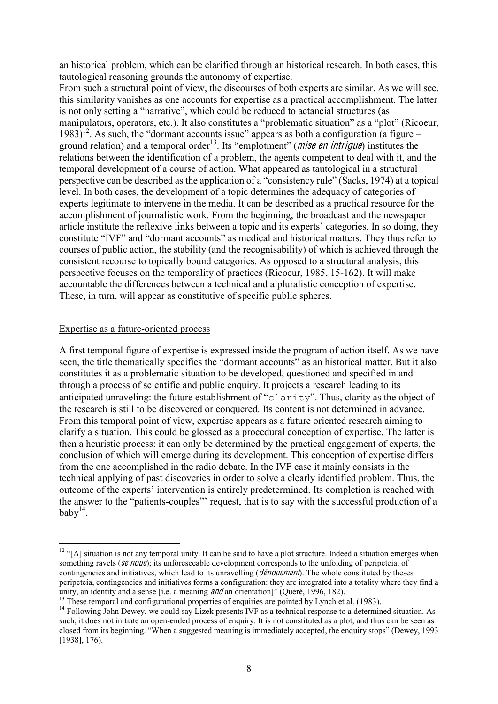an historical problem, which can be clarified through an historical research. In both cases, this tautological reasoning grounds the autonomy of expertise.

From such a structural point of view, the discourses of both experts are similar. As we will see, this similarity vanishes as one accounts for expertise as a practical accomplishment. The latter is not only setting a "narrative", which could be reduced to actancial structures (as manipulators, operators, etc.). It also constitutes a "problematic situation" as a "plot" (Ricoeur,  $1983$ <sup>12</sup>. As such, the "dormant accounts issue" appears as both a configuration (a figure – ground relation) and a temporal order<sup>13</sup>. Its "emplotment" (*mise en intrigue*) institutes the relations between the identification of a problem, the agents competent to deal with it, and the temporal development of a course of action. What appeared as tautological in a structural perspective can be described as the application of a "consistency rule" (Sacks, 1974) at a topical level. In both cases, the development of a topic determines the adequacy of categories of experts legitimate to intervene in the media. It can be described as a practical resource for the accomplishment of journalistic work. From the beginning, the broadcast and the newspaper article institute the reflexive links between a topic and its experts' categories. In so doing, they constitute "IVF" and "dormant accounts" as medical and historical matters. They thus refer to courses of public action, the stability (and the recognisability) of which is achieved through the consistent recourse to topically bound categories. As opposed to a structural analysis, this perspective focuses on the temporality of practices (Ricoeur, 1985, 15-162). It will make accountable the differences between a technical and a pluralistic conception of expertise. These, in turn, will appear as constitutive of specific public spheres.

### Expertise as a future-oriented process

A first temporal figure of expertise is expressed inside the program of action itself. As we have seen, the title thematically specifies the "dormant accounts" as an historical matter. But it also constitutes it as a problematic situation to be developed, questioned and specified in and through a process of scientific and public enquiry. It projects a research leading to its anticipated unraveling: the future establishment of "clarity". Thus, clarity as the object of the research is still to be discovered or conquered. Its content is not determined in advance. From this temporal point of view, expertise appears as a future oriented research aiming to clarify a situation. This could be glossed as a procedural conception of expertise. The latter is then a heuristic process: it can only be determined by the practical engagement of experts, the conclusion of which will emerge during its development. This conception of expertise differs from the one accomplished in the radio debate. In the IVF case it mainly consists in the technical applying of past discoveries in order to solve a clearly identified problem. Thus, the outcome of the experts' intervention is entirely predetermined. Its completion is reached with the answer to the "patients-couples"' request, that is to say with the successful production of a baby $14$ .

<sup>&</sup>lt;sup>12</sup> "[A] situation is not any temporal unity. It can be said to have a plot structure. Indeed a situation emerges when something ravels (se noue); its unforeseeable development corresponds to the unfolding of peripeteia, of contingencies and initiatives, which lead to its unravelling (*dénouement*). The whole constituted by theses peripeteia, contingencies and initiatives forms a configuration: they are integrated into a totality where they find a unity, an identity and a sense [i.e. a meaning *and* an orientation]" (Quéré, 1996, 182).<br><sup>13</sup> These temporal and configurational properties of enquiries are pointed by Lynch et al. (1983).<br><sup>14</sup> Following John Dewey, we co

such, it does not initiate an open-ended process of enquiry. It is not constituted as a plot, and thus can be seen as closed from its beginning. "When a suggested meaning is immediately accepted, the enquiry stops" (Dewey, 1993 [1938], 176).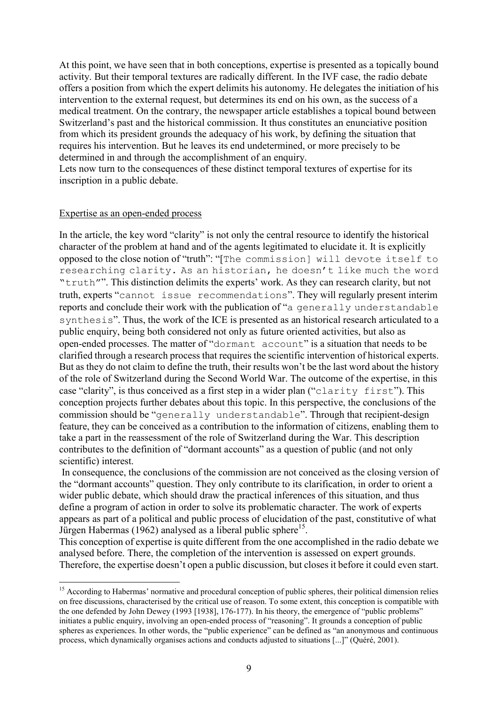At this point, we have seen that in both conceptions, expertise is presented as a topically bound activity. But their temporal textures are radically different. In the IVF case, the radio debate offers a position from which the expert delimits his autonomy. He delegates the initiation of his intervention to the external request, but determines its end on his own, as the success of a medical treatment. On the contrary, the newspaper article establishes a topical bound between Switzerland's past and the historical commission. It thus constitutes an enunciative position from which its president grounds the adequacy of his work, by defining the situation that requires his intervention. But he leaves its end undetermined, or more precisely to be determined in and through the accomplishment of an enquiry.

Lets now turn to the consequences of these distinct temporal textures of expertise for its inscription in a public debate.

### Expertise as an open-ended process

In the article, the key word "clarity" is not only the central resource to identify the historical character of the problem at hand and of the agents legitimated to elucidate it. It is explicitly opposed to the close notion of "truth": "[The commission] will devote itself to researching clarity. As an historian, he doesn't like much the word "truth"". This distinction delimits the experts' work. As they can research clarity, but not truth, experts "cannot issue recommendations". They will regularly present interim reports and conclude their work with the publication of "a generally understandable synthesis". Thus, the work of the ICE is presented as an historical research articulated to a public enquiry, being both considered not only as future oriented activities, but also as open-ended processes. The matter of "dormant account" is a situation that needs to be clarified through a research process that requires the scientific intervention of historical experts. But as they do not claim to define the truth, their results won't be the last word about the history of the role of Switzerland during the Second World War. The outcome of the expertise, in this case "clarity", is thus conceived as a first step in a wider plan ("clarity first"). This conception projects further debates about this topic. In this perspective, the conclusions of the commission should be "generally understandable". Through that recipient-design feature, they can be conceived as a contribution to the information of citizens, enabling them to take a part in the reassessment of the role of Switzerland during the War. This description contributes to the definition of "dormant accounts" as a question of public (and not only scientific) interest.

In consequence, the conclusions of the commission are not conceived as the closing version of the "dormant accounts" question. They only contribute to its clarification, in order to orient a wider public debate, which should draw the practical inferences of this situation, and thus define a program of action in order to solve its problematic character. The work of experts appears as part of a political and public process of elucidation of the past, constitutive of what Jürgen Habermas (1962) analysed as a liberal public sphere<sup>15</sup>.

This conception of expertise is quite different from the one accomplished in the radio debate we analysed before. There, the completion of the intervention is assessed on expert grounds. Therefore, the expertise doesn't open a public discussion, but closes it before it could even start.

<sup>&</sup>lt;sup>15</sup> According to Habermas' normative and procedural conception of public spheres, their political dimension relies on free discussions, characterised by the critical use of reason. To some extent, this conception is compatible with the one defended by John Dewey (1993 [1938], 176-177). In his theory, the emergence of "public problems" initiates a public enquiry, involving an open-ended process of "reasoning". It grounds a conception of public spheres as experiences. In other words, the "public experience" can be defined as "an anonymous and continuous process, which dynamically organises actions and conducts adjusted to situations [...]" (Quéré, 2001).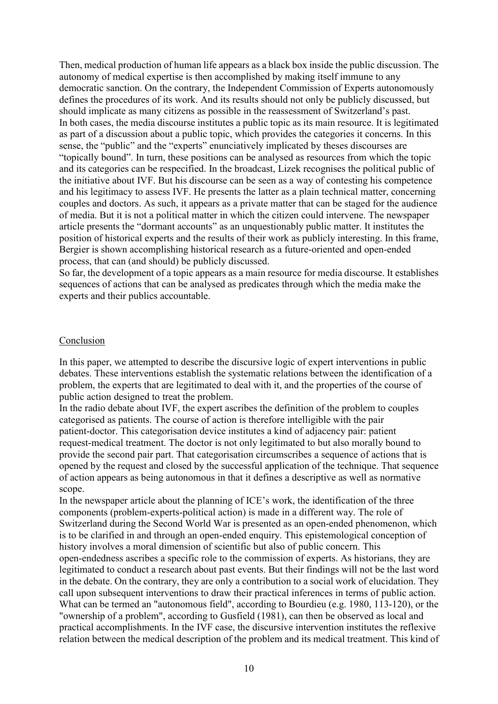Then, medical production of human life appears as a black box inside the public discussion. The autonomy of medical expertise is then accomplished by making itself immune to any democratic sanction. On the contrary, the Independent Commission of Experts autonomously defines the procedures of its work. And its results should not only be publicly discussed, but should implicate as many citizens as possible in the reassessment of Switzerland's past. In both cases, the media discourse institutes a public topic as its main resource. It is legitimated as part of a discussion about a public topic, which provides the categories it concerns. In this sense, the "public" and the "experts" enunciatively implicated by theses discourses are "topically bound". In turn, these positions can be analysed as resources from which the topic and its categories can be respecified. In the broadcast, Lizek recognises the political public of the initiative about IVF. But his discourse can be seen as a way of contesting his competence and his legitimacy to assess IVF. He presents the latter as a plain technical matter, concerning couples and doctors. As such, it appears as a private matter that can be staged for the audience of media. But it is not a political matter in which the citizen could intervene. The newspaper article presents the "dormant accounts" as an unquestionably public matter. It institutes the position of historical experts and the results of their work as publicly interesting. In this frame, Bergier is shown accomplishing historical research as a future-oriented and open-ended process, that can (and should) be publicly discussed.

So far, the development of a topic appears as a main resource for media discourse. It establishes sequences of actions that can be analysed as predicates through which the media make the experts and their publics accountable.

### Conclusion

In this paper, we attempted to describe the discursive logic of expert interventions in public debates. These interventions establish the systematic relations between the identification of a problem, the experts that are legitimated to deal with it, and the properties of the course of public action designed to treat the problem.

In the radio debate about IVF, the expert ascribes the definition of the problem to couples categorised as patients. The course of action is therefore intelligible with the pair patient-doctor. This categorisation device institutes a kind of adjacency pair: patient request-medical treatment. The doctor is not only legitimated to but also morally bound to provide the second pair part. That categorisation circumscribes a sequence of actions that is opened by the request and closed by the successful application of the technique. That sequence of action appears as being autonomous in that it defines a descriptive as well as normative scope.

In the newspaper article about the planning of ICE's work, the identification of the three components (problem-experts-political action) is made in a different way. The role of Switzerland during the Second World War is presented as an open-ended phenomenon, which is to be clarified in and through an open-ended enquiry. This epistemological conception of history involves a moral dimension of scientific but also of public concern. This open-endedness ascribes a specific role to the commission of experts. As historians, they are legitimated to conduct a research about past events. But their findings will not be the last word in the debate. On the contrary, they are only a contribution to a social work of elucidation. They call upon subsequent interventions to draw their practical inferences in terms of public action. What can be termed an "autonomous field", according to Bourdieu (e.g. 1980, 113-120), or the "ownership of a problem", according to Gusfield (1981), can then be observed as local and practical accomplishments. In the IVF case, the discursive intervention institutes the reflexive relation between the medical description of the problem and its medical treatment. This kind of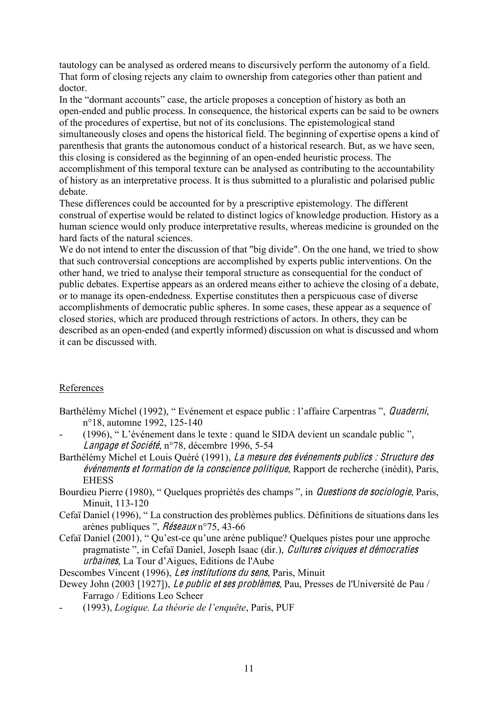tautology can be analysed as ordered means to discursively perform the autonomy of a field. That form of closing rejects any claim to ownership from categories other than patient and doctor.

In the "dormant accounts" case, the article proposes a conception of history as both an open-ended and public process. In consequence, the historical experts can be said to be owners of the procedures of expertise, but not of its conclusions. The epistemological stand simultaneously closes and opens the historical field. The beginning of expertise opens a kind of parenthesis that grants the autonomous conduct of a historical research. But, as we have seen, this closing is considered as the beginning of an open-ended heuristic process. The accomplishment of this temporal texture can be analysed as contributing to the accountability of history as an interpretative process. It is thus submitted to a pluralistic and polarised public debate.

These differences could be accounted for by a prescriptive epistemology. The different construal of expertise would be related to distinct logics of knowledge production. History as a human science would only produce interpretative results, whereas medicine is grounded on the hard facts of the natural sciences.

We do not intend to enter the discussion of that "big divide". On the one hand, we tried to show that such controversial conceptions are accomplished by experts public interventions. On the other hand, we tried to analyse their temporal structure as consequential for the conduct of public debates. Expertise appears as an ordered means either to achieve the closing of a debate, or to manage its open-endedness. Expertise constitutes then a perspicuous case of diverse accomplishments of democratic public spheres. In some cases, these appear as a sequence of closed stories, which are produced through restrictions of actors. In others, they can be described as an open-ended (and expertly informed) discussion on what is discussed and whom it can be discussed with.

# References

- Barthélémy Michel (1992), "Evénement et espace public : l'affaire Carpentras ", Quaderni, n°18, automne 1992, 125-140
- (1996), " L'événement dans le texte : quand le SIDA devient un scandale public ", Langag<sup>e</sup> <sup>e</sup><sup>t</sup> Société, n°78, décembre 1996, 5-54
- Barthélémy Michel et Louis Quéré (1991), La mesure des événements publics : Structure des événements <sup>e</sup><sup>t</sup> formation d<sup>e</sup> la <sup>c</sup>onscience politique, Rapport de recherche (inédit), Paris, EHESS
- Bourdieu Pierre (1980), " Quelques propriétés des champs ", in *Questions de sociologie*, Paris, Minuit, 113-120
- Cefaï Daniel (1996), " La construction des problèmes publics. Définitions de situations dans les arènes publiques ", Réseaux n°75, 43-66
- Cefaï Daniel (2001), " Qu'est-ce qu'une arène publique? Quelques pistes pour une approche pragmatiste ", in Cefaï Daniel, Joseph Isaac (dir.), Cultures civiques et démocraties urbaine<sup>s</sup>, La Tour d'Aigues, Editions de l'Aube

Descombes Vincent (1996), Le<sup>s</sup> institution<sup>s</sup> du <sup>s</sup>en<sup>s</sup>, Paris, Minuit

- Dewey John (2003 [1927]), *Le public et ses problèmes*, Pau, Presses de l'Université de Pau / Farrago / Editions Leo Scheer
- (1993), *Logique. La théorie de l'enquête*, Paris, PUF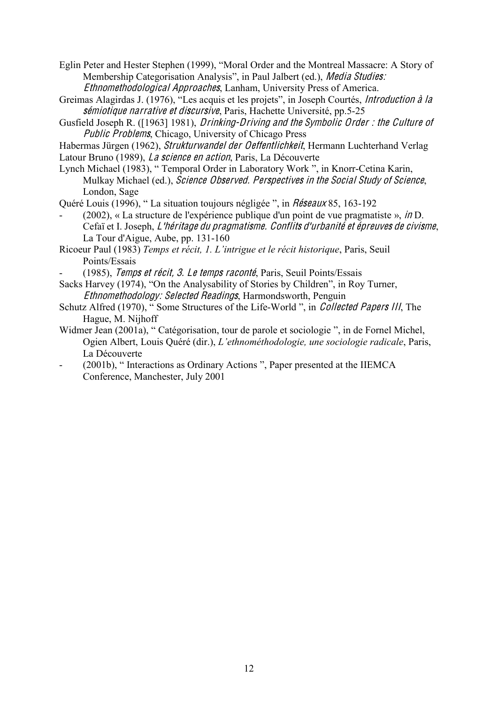Eglin Peter and Hester Stephen (1999), "Moral Order and the Montreal Massacre: A Story of Membership Categorisation Analysis", in Paul Jalbert (ed.), *Media Studies:* Ethnomethodological Approache<sup>s</sup>, Lanham, University Press of America.

- Greimas Alagirdas J. (1976), "Les acquis et les projets", in Joseph Courtés, Introduction à la sémiotique narrative et discursive, Paris, Hachette Université, pp. 5-25
- Gusfield Joseph R. ([1963] 1981), Drinking-Driving and <sup>t</sup>h<sup>e</sup> Symboli<sup>c</sup> Orde<sup>r</sup> : <sup>t</sup>h<sup>e</sup> Cultur<sup>e</sup> <sup>o</sup>f Public Problems, Chicago, University of Chicago Press
- Habermas Jürgen (1962), Strukturwandel de<sup>r</sup> Oeffentlichkeit, Hermann Luchterhand Verlag
- Latour Bruno (1989), *La science en action*, Paris, La Découverte
- Lynch Michael (1983), " Temporal Order in Laboratory Work ", in Knorr-Cetina Karin, Mulkay Michael (ed.), Science Observed. Perspective<sup>s</sup> in <sup>t</sup>h<sup>e</sup> Social Study <sup>o</sup>f Science, London, Sage

Quéré Louis (1996), " La situation toujours négligée ", in Réseaux 85, 163-192

- $(2002)$ , « La structure de l'expérience publique d'un point de vue pragmatiste », *in* D. Cefaï et I. Joseph, L'héritag<sup>e</sup> du pragmatisme. Conflits d'urbanité <sup>e</sup><sup>t</sup> épreuve<sup>s</sup> d<sup>e</sup> <sup>c</sup>ivism<sup>e</sup>, La Tour d'Aigue, Aube, pp. 131-160
- Ricoeur Paul (1983) *Temps et récit, 1. L'intrigue et le récit historique*, Paris, Seuil Points/Essais
- (1985), Temps et récit, 3. Le temps raconté, Paris, Seuil Points/Essais
- Sacks Harvey (1974), "On the Analysability of Stories by Children", in Roy Turner, Ethnomethodology: Selected Readings, Harmondsworth, Penguin
- Schutz Alfred (1970), " Some Structures of the Life-World ", in Collected Pap<sup>e</sup>r<sup>s</sup> III, The Hague, M. Nijhoff
- Widmer Jean (2001a), " Catégorisation, tour de parole et sociologie ", in de Fornel Michel, Ogien Albert, Louis Quéré (dir.), *L'ethnométhodologie, une sociologie radicale*, Paris, La Découverte
- (2001b), " Interactions as Ordinary Actions ", Paper presented at the IIEMCA Conference, Manchester, July 2001